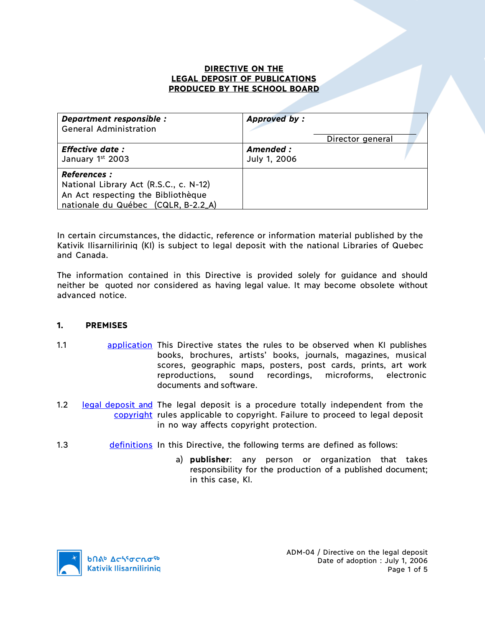#### **DIRECTIVE ON THE LEGAL DEPOSIT OF PUBLICATIONS PRODUCED BY THE SCHOOL BOARD**

| Department responsible :<br><b>General Administration</b>                                                                                  | <b>Approved by:</b>       | Director general |  |
|--------------------------------------------------------------------------------------------------------------------------------------------|---------------------------|------------------|--|
| <b>Effective date:</b><br>January 1st 2003                                                                                                 | Amended :<br>July 1, 2006 |                  |  |
| <b>References :</b><br>National Library Act (R.S.C., c. N-12)<br>An Act respecting the Bibliothèque<br>nationale du Québec (CQLR, B-2.2_A) |                           |                  |  |

In certain circumstances, the didactic, reference or information material published by the Kativik Ilisarniliriniq (KI) is subject to legal deposit with the national Libraries of Quebec and Canada.

The information contained in this Directive is provided solely for guidance and should neither be quoted nor considered as having legal value. It may become obsolete without advanced notice.

#### **1. PREMISES**

- 1.1 application This Directive states the rules to be observed when KI publishes books, brochures, artists' books, journals, magazines, musical scores, geographic maps, posters, post cards, prints, art work reproductions, sound recordings, microforms, electronic documents and software.
- 1.2 legal deposit and The legal deposit is a procedure totally independent from the copyright rules applicable to copyright. Failure to proceed to legal deposit in no way affects copyright protection.
- 1.3 definitions In this Directive, the following terms are defined as follows:
	- a) **publisher**: any person or organization that takes responsibility for the production of a published document; in this case, KI.

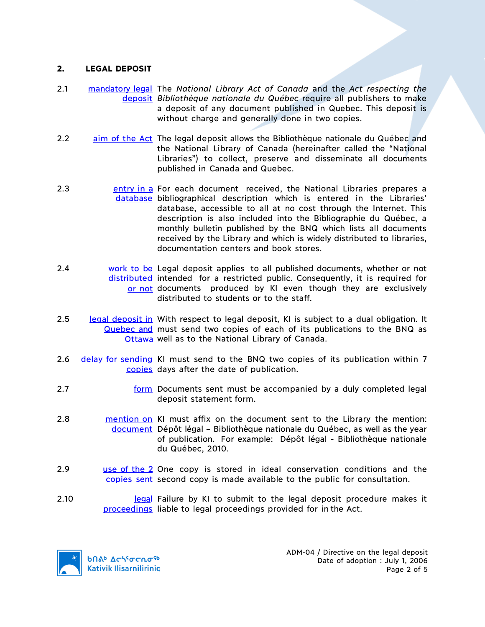#### **2. LEGAL DEPOSIT**

- 2.1 mandatory legal The *National Library Act of Canada* and the *Act respecting the*  deposit *Bibliothèque nationale du Québec* require all publishers to make a deposit of any document published in Quebec. This deposit is without charge and generally done in two copies.
- 2.2 aim of the Act The legal deposit allows the Bibliothèque nationale du Québec and the National Library of Canada (hereinafter called the "National Libraries") to collect, preserve and disseminate all documents published in Canada and Quebec.
- 2.3 **Exercise 2.3** entry in a For each document received, the National Libraries prepares a database bibliographical description which is entered in the Libraries' database, accessible to all at no cost through the Internet. This description is also included into the Bibliographie du Québec, a monthly bulletin published by the BNQ which lists all documents received by the Library and which is widely distributed to libraries, documentation centers and book stores.
- 2.4 work to be Legal deposit applies to all published documents, whether or not distributed intended for a restricted public. Consequently, it is required for or not documents produced by KI even though they are exclusively distributed to students or to the staff.
- 2.5 legal deposit in With respect to legal deposit, KI is subject to a dual obligation. It Quebec and must send two copies of each of its publications to the BNQ as Ottawa well as to the National Library of Canada.
- 2.6 delay for sending KI must send to the BNQ two copies of its publication within 7 copies days after the date of publication.
- 2.7 form Documents sent must be accompanied by a duly completed legal deposit statement form.
- 2.8 mention on KI must affix on the document sent to the Library the mention: document Dépôt légal - Bibliothèque nationale du Québec, as well as the year of publication. For example: Dépôt légal - Bibliothèque nationale du Québec, 2010.
- 2.9 **use of the 2** One copy is stored in ideal conservation conditions and the copies sent second copy is made available to the public for consultation.
- 2.10 **Legal Failure by KI to submit to the legal deposit procedure makes it** proceedings liable to legal proceedings provided for in the Act.

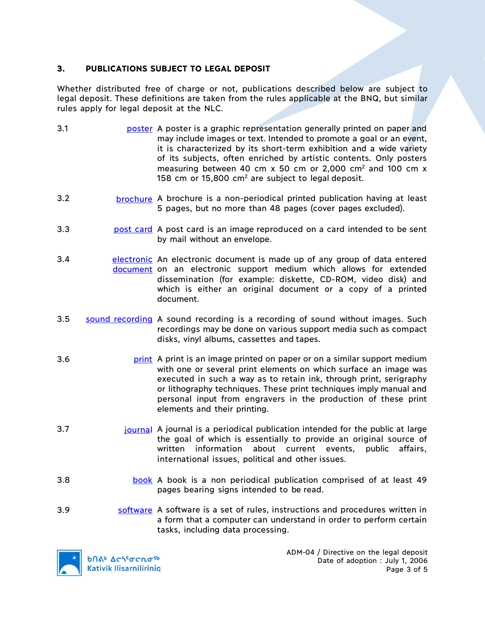# **3. PUBLICATIONS SUBJECT TO LEGAL DEPOSIT**

Whether distributed free of charge or not, publications described below are subject to legal deposit. These definitions are taken from the rules applicable at the BNQ, but similar rules apply for legal deposit at the NLC.

- 3.1 poster A poster is a graphic representation generally printed on paper and may include images or text. Intended to promote a goal or an event, it is characterized by its short-term exhibition and a wide variety of its subjects, often enriched by artistic contents. Only posters measuring between 40 cm  $x$  50 cm or 2,000 cm<sup>2</sup> and 100 cm  $x$ 158 cm or  $15,800$  cm<sup>2</sup> are subject to legal deposit.
- 3.2 brochure A brochure is a non-periodical printed publication having at least 5 pages, but no more than 48 pages (cover pages excluded).
- 3.3 post card A post card is an image reproduced on a card intended to be sent by mail without an envelope.
- 3.4 electronic An electronic document is made up of any group of data entered document on an electronic support medium which allows for extended dissemination (for example: diskette, CD-ROM, video disk) and which is either an original document or a copy of a printed document.
- 3.5 sound recording A sound recording is a recording of sound without images. Such recordings may be done on various support media such as compact disks, vinyl albums, cassettes and tapes.
- 3.6 print A print is an image printed on paper or on a similar support medium with one or several print elements on which surface an image was executed in such a way as to retain ink, through print, serigraphy or lithography techniques. These print techniques imply manual and personal input from engravers in the production of these print elements and their printing.
- 3.7 *journal* A journal is a periodical publication intended for the public at large the goal of which is essentially to provide an original source of written information about current events, public affairs, international issues, political and other issues.
- 3.8 book A book is a non periodical publication comprised of at least 49 pages bearing signs intended to be read.
- 3.9 software A software is a set of rules, instructions and procedures written in a form that a computer can understand in order to perform certain tasks, including data processing.

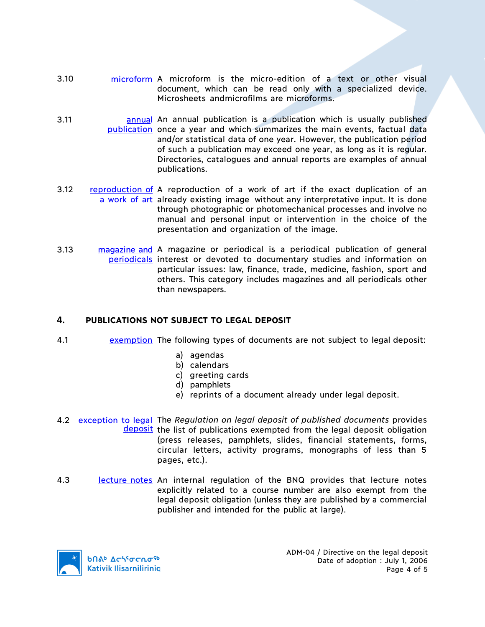- 3.10 microform A microform is the micro-edition of a text or other visual document, which can be read only with a specialized device. Microsheets andmicrofilms are microforms.
- 3.11 **annual** An annual publication is a publication which is usually published publication once a year and which summarizes the main events, factual data and/or statistical data of one year. However, the publication period of such a publication may exceed one year, as long as it is regular. Directories, catalogues and annual reports are examples of annual publications.
- 3.12 reproduction of A reproduction of a work of art if the exact duplication of an a work of art already existing image without any interpretative input. It is done through photographic or photomechanical processes and involve no manual and personal input or intervention in the choice of the presentation and organization of the image.
- 3.13 magazine and A magazine or periodical is a periodical publication of general periodicals interest or devoted to documentary studies and information on particular issues: law, finance, trade, medicine, fashion, sport and others. This category includes magazines and all periodicals other than newspapers.

### **4. PUBLICATIONS NOT SUBJECT TO LEGAL DEPOSIT**

- 4.1 exemption The following types of documents are not subject to legal deposit:
	- a) agendas
	- b) calendars
	- c) greeting cards
	- d) pamphlets
	- e) reprints of a document already under legal deposit.
- 4.2 exception to legal The *Regulation on legal deposit of published documents* provides deposit the list of publications exempted from the legal deposit obligation (press releases, pamphlets, slides, financial statements, forms, circular letters, activity programs, monographs of less than 5 pages, etc.).
- 4.3 lecture notes An internal regulation of the BNQ provides that lecture notes explicitly related to a course number are also exempt from the legal deposit obligation (unless they are published by a commercial publisher and intended for the public at large).